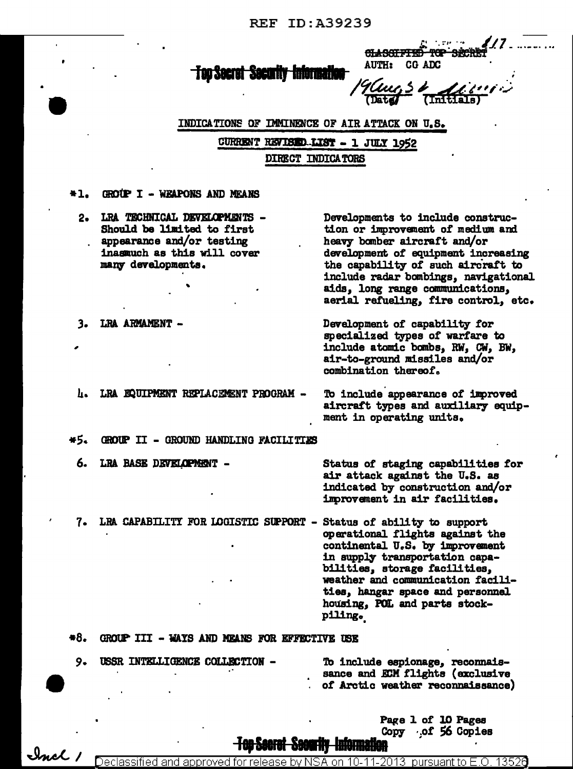**REF ID:A39239** 

#### <del>-Too Secret -Security -Informatio</del>n

AUTH: CG ADC

نجهب

**CLASSIFIED** 

the graph in the

**Sitc** 

INDICATIONS OF IMMINENCE OF AIR ATTACK ON U.S.

CURRENT REVISED LIST - 1 JULY 1952 DIRECT INDICATORS

- $+1.$ GROUP I - WEAPONS AND MEANS
	- LRA TECHNICAL DEVELOPMENTS - $2 -$ Should be limited to first appearance and/or testing inasmuch as this will cover many developments.

Developments to include construction or improvement of medium and heavy bomber aircraft and/or development of equipment increasing the capability of such aircraft to include radar bombings, navigational aids, long range communications, aerial refueling, fire control, etc.

- LRA ARMAMENT -3.
	- LRA EQUIPMENT REPLACEMENT PROGRAM п.

To include appearance of improved aircraft types and auxiliary equipment in operating units.

Development of capability for

combination thereof.

specialized types of warfare to include atomic bombs, RW, CW, BW, air-to-ground missiles and/or

- \*5. GROUP II - GROUND HANDLING FACILITIES
	- 6. LRA BASE DEVELOPMENT -

Status of staging capabilities for air attack against the U.S. as indicated by construction and/or improvement in air facilities.

LRA CAPABILITY FOR LOGISTIC SUPPORT - Status of ability to support 7. operational flights against the continental U.S. by improvement in supply transportation capabilities, storage facilities, weather and communication facilities, hangar space and personnel housing, POL and parts stockpiling.

 $*8.$ GROUP III - WAYS AND MEANS FOR EFFECTIVE USE

USSR INTELLIGENCE COLLECTION -9.

 $\mathcal{L}_{mcl}$ 

To include espionage, reconnaissance and ECM flights (exclusive of Arctic weather reconnaissance)

> Page 1 of 10 Pages  $Copy \cdot of 56 Copies$

<del>100 200101 - 2001</del>

Declassified and approved for release by NSA on 10-11-2013 | pursuant to E.O. 13526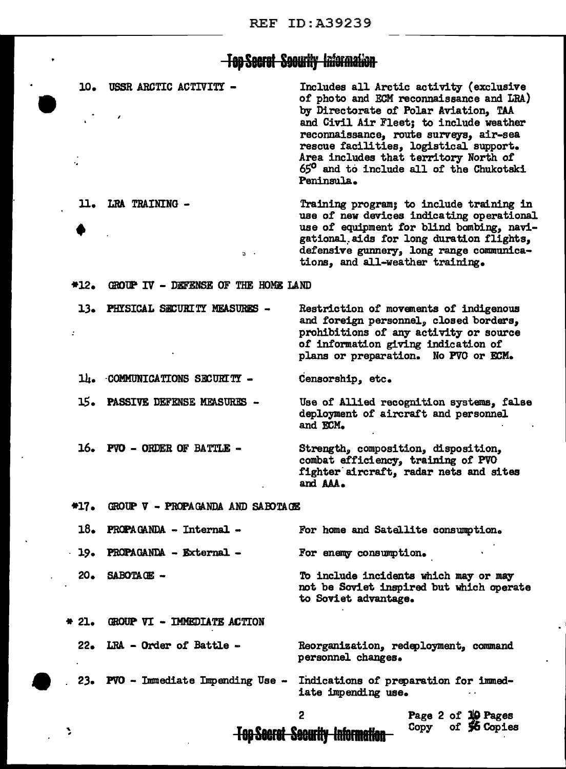#### <del>Top Secret Socurity Information</del>

10. USSR ARCTIC ACTIVITY -Includes all Arctic activity (exclusive of photo and ECM reconnaissance and LRA) by Directorate of Polar Aviation, TAA and Civil Air Fleet; to include weather reconnaissance, route surveys, air-sea rescue facilities, logistical support. Area includes that territory North of 65° and to include all of the Chukotski Peninsula. 11. LRA TRAINING -Training program; to include training in use of new devices indicating operational use of equipment for blind bombing, navigational aids for long duration flights, defensive gunnery, long range communica- $\alpha$  $\overline{\phantom{a}}$ tions, and all-weather training. GROUP IV - DEFENSE OF THE HOME LAND  $*12.$ 13. PHYSICAL SECURITY MEASURES -Restriction of movements of indigenous and foreign personnel, closed borders, prohibitions of any activity or source ż of information giving indication of plans or preparation. No PVO or ECM. 14. COMMUNICATIONS SECURITY -Censorship, etc. 15. **PASSIVE DEFENSE MEASURES -**Use of Allied recognition systems, false deployment of aircraft and personnel and ECM. 16. PVO - ORDER OF BATTLE -Strength, composition, disposition, combat efficiency, training of PVO fighter aircraft, radar nets and sites and AAA.  $+17.$ GROUP V - PROPAGANDA AND SABOTAGE 18. PROPAGANDA - Internal -For home and Satellite consumption. PROPAGANDA - External - $19.$ For enemy consumption.  $20 -$ SABOTAGE -To include incidents which may or may not be Soviet inspired but which operate to Soviet advantage. GROUP VI - IMMEDIATE ACTION  $* 21.$ 22. LRA - Order of Battle -Reorganization, redeployment, command personnel changes. 23. PVO - Immediate Impending Use -Indications of preparation for immediate impending use. 2 Page 2 of 10 Pages

**Top Secret Security Information** 

٦

of 56 Copies

Copy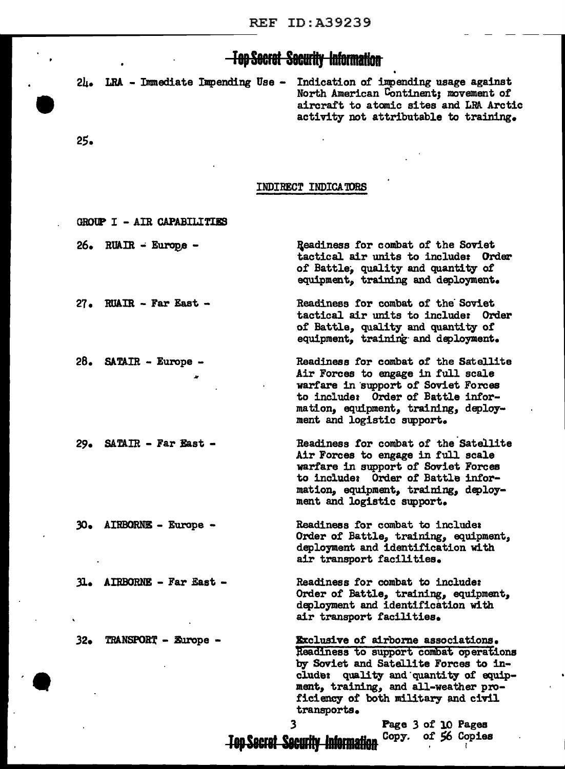## **-Top Secret Security Information**

Indication of impending usage against  $2\mu$ . LRA - Immediate Impending Use -North American Continent; movement of aircraft to atomic sites and LRA Arctic activity not attributable to training.

 $25.$ 

#### INDIRECT INDICATORS

| GROUP I - AIR CAPABILITIES |                                                                                                                                                                                                                                                                                |
|----------------------------|--------------------------------------------------------------------------------------------------------------------------------------------------------------------------------------------------------------------------------------------------------------------------------|
| 26. RUAIR - Europe -       | Readiness for combat of the Soviet<br>tactical air units to include: Order<br>of Battle, quality and quantity of<br>equipment, training and deployment.                                                                                                                        |
| $27.$ RUAIR - Far East -   | Readiness for combat of the Soviet<br>tactical air units to include: Order<br>of Battle, quality and quantity of<br>equipment, training and deployment.                                                                                                                        |
| 28. SATAIR - Europe -      | Readiness for combat of the Satellite<br>Air Forces to engage in full scale<br>warfare in support of Soviet Forces<br>to include: Order of Battle infor-<br>mation, equipment, training, deploy-<br>ment and logistic support.                                                 |
| 29. SATAIR - Far East -    | Readiness for combat of the Satellite<br>Air Forces to engage in full scale<br>warfare in support of Soviet Forces<br>to include: Order of Battle infor-<br>mation, equipment, training, deploy-<br>ment and logistic support.                                                 |
| 30. AIRBORNE - Europe -    | Readiness for combat to include:<br>Order of Battle, training, equipment,<br>deployment and identification with<br>air transport facilities.                                                                                                                                   |
| 31. AIRBORNE - Far East -  | Readiness for combat to include:<br>Order of Battle, training, equipment,<br>deployment and identification with<br>air transport facilities.                                                                                                                                   |
| 32. TRANSPORT - Europe -   | <b>Exclusive of airborne associations.</b><br>Readiness to support combat operations<br>by Soviet and Satellite Forces to in-<br>quality and quantity of equip-<br><b>clude:</b><br>ment, training, and all-weather pro-<br>ficiency of both military and civil<br>transports. |

 $\overline{\mathbf{3}}$ **Top Secret Security Information** 

Page 3 of 10 Pages of 56 Copies Copy.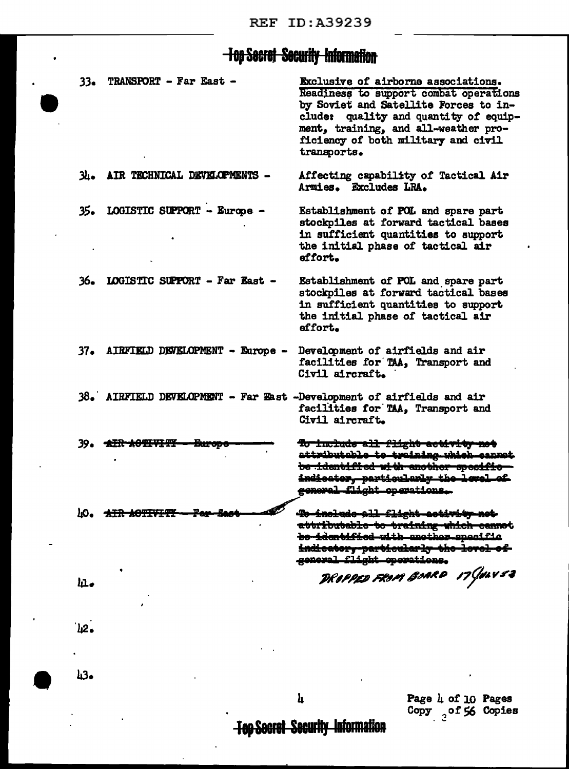# **Top Secret Security Information**

| $33\bullet$ | TRANSPORT - Far East -          | Exclusive of airborne associations.<br>Readiness to support combat operations<br>by Soviet and Satellite Forces to in-<br>clude: quality and quantity of equip-<br>ment, training, and all-weather pro-<br>ficiency of both military and civil<br>transports. |
|-------------|---------------------------------|---------------------------------------------------------------------------------------------------------------------------------------------------------------------------------------------------------------------------------------------------------------|
| зь.         | AIR TECHNICAL DEVELOPMENTS -    | Affecting capability of Tactical Air<br>Armies. Excludes LRA.                                                                                                                                                                                                 |
| 35.         | LOGISTIC SUPPORT - Europe -     | Establishment of POL and spare part<br>stockpiles at forward tactical bases<br>in sufficient quantities to support<br>the initial phase of tactical air<br>affort.                                                                                            |
| 36.         | LOGISTIC SUPPORT - Far East -   | Establishment of POL and spare part<br>stockpiles at forward tactical bases<br>in sufficient quantities to support<br>the initial phase of tactical air<br>effort.                                                                                            |
| 37.         | AIRFIELD DEVELOPMENT - Europe - | Development of airfields and air<br>facilities for TAA, Transport and<br>Civil aircraft.                                                                                                                                                                      |
| 38. L       |                                 | AIRFIELD DEVELOPMENT - Far East -Development of airfields and air<br>facilities for TAA, Transport and<br>Civil aircraft.                                                                                                                                     |
| 39.         | <b>THR ACTIVITY</b>             | <del>To include all flight activity not</del><br>attributable to training which cannot<br>be identified with another specific<br>indicator, particularly the level of<br>general flight opgrations.                                                           |
| 40.         | <del>AIR AOTIVITY</del>         | <del>To include all</del><br><del>-flight activity not</del><br>attributable to training which cannot<br>bo identified with another specific<br>indicatory-particularly the level of<br>general flight operations.                                            |
| ш.          |                                 | DROPPED FROM BOARD 17 JOLY 53                                                                                                                                                                                                                                 |
| `հ2∙        |                                 |                                                                                                                                                                                                                                                               |

 $43-$ 

Page  $\frac{1}{4}$  of 10 Pages<br>Copy  $\frac{1}{3}$  of 56 Copies

**Top Secret Security Information** 

 $\mathbf{h}$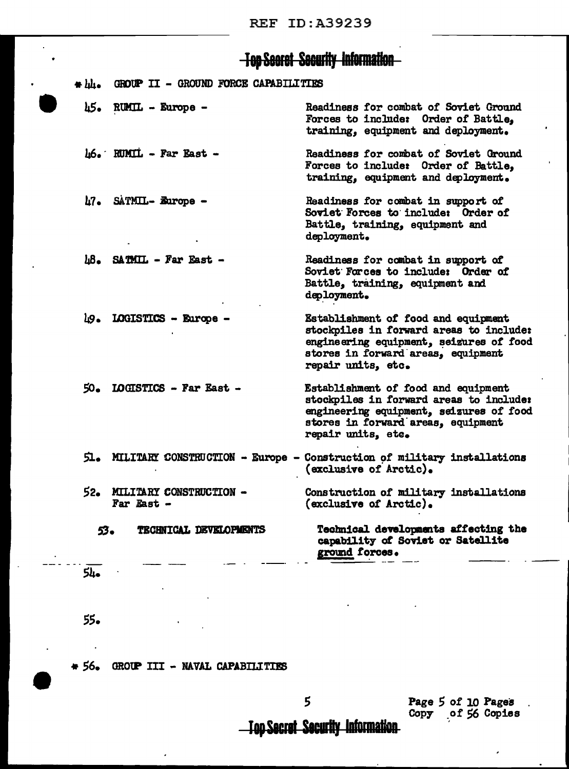### **Top Secret Security Information**

|  |  |  | * LL. GROUP II - GROUND FORCE CAPABILITIES |
|--|--|--|--------------------------------------------|
|  |  |  |                                            |

 $h8$ . SATMIL - Far East -

 $h5$ . RUMIL - Europe -Readiness for combat of Soviet Ground Forces to include: Order of Battle. training, equipment and deployment.

 $\mu$ 6. RUMIL - Far East -Readiness for combat of Soviet Ground Forces to include: Order of Battle, training, equipment and deployment.

17. SATMIL- Europe -Readiness for combat in support of Soviet Forces to include: Order of Battle, training, equipment and deployment.

> Readiness for combat in support of Soviet Forces to include: Order of Battle, training, equipment and deployment.

49. LOGISTICS - Europe -Establishment of food and equipment stockpiles in forward areas to include: engineering equipment, seizures of food stores in forward areas. equipment repair units, etc.

- $50.$  LOGISTICS Far East -Establishment of food and equipment stockpiles in forward areas to include: engineering equipment, seizures of food stores in forward areas, equipment repair units, etc.
- 51. MILITARY CONSTRUCTION Europe Construction of military installations (exclusive of Arctic).

Construction of military installations (exclusive of Arctic).

> Technical developments affecting the capability of Soviet or Satellite ground forces.

54.

 $53-$ 

55.

GROUP III - NAVAL CAPABILITIES  $*56.$ 

52. MILITARY CONSTRUCTION -

TECHNICAL DEVELOPMENTS

Far East -

5

Page 5 of 10 Pages Copy of 56 Copies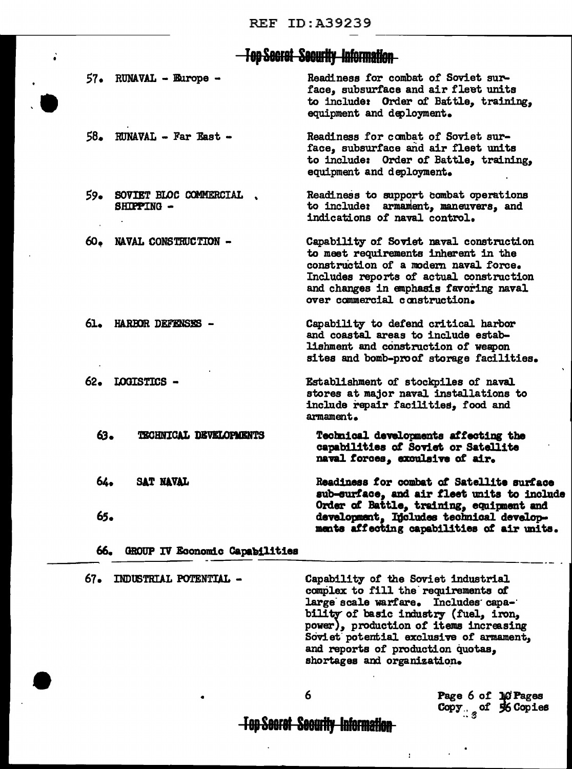# -Top Secret Security Information-

| 66. | GROUP IV Economic Capabilities            |                                                                                                                                                                                                                                                |
|-----|-------------------------------------------|------------------------------------------------------------------------------------------------------------------------------------------------------------------------------------------------------------------------------------------------|
| 65. | 64.<br>SAT NAVAL                          | Readiness for combat of Satellite surface<br>sub-surface, and air fleet units to include<br>Order of Battle, training, equipment and<br>development, Includes technical develop-<br>ments affecting capabilities of air units.                 |
| 63. | TECHNICAL DEVELOPMENTS                    | Technical developments affecting the<br>capabilities of Soviet or Satellite<br>naval forces, exculsive of air.                                                                                                                                 |
|     | 62. LOGISTICS -                           | Establishment of stockpiles of naval<br>stores at major naval installations to<br>include repair facilities, food and<br>armament.                                                                                                             |
| 61. | <b>HARBOR DEFENSES -</b>                  | Capability to defend critical harbor<br>and coastal areas to include estab-<br>lishment and construction of weapon<br>sites and bomb-proof storage facilities.                                                                                 |
| 60. | NAVAL CONSTRUCTION -                      | Capability of Soviet naval construction<br>to meet requirements inherent in the<br>construction of a modern naval force.<br>Includes reports of actual construction<br>and changes in emphasis favoring naval<br>over commercial construction. |
|     | 59. SOVIET BLOC COMMERCIAL.<br>SHIPPING - | Readiness to support combat operations<br>to include: armament, maneuvers, and<br>indications of naval control.                                                                                                                                |
|     | $58.$ RUNAVAL - Far East -                | Readiness for combat of Soviet sur-<br>face, subsurface and air fleet units<br>to include: Order of Battle, training,<br>equipment and deployment.                                                                                             |
|     | $57.$ RUNAVAL - Europe -                  | Readiness for combat of Soviet sur-<br>face, subsurface and air fleet units<br>to include: Order of Battle, training,<br>equipment and deployment.                                                                                             |

 $67-$ INDUSTRIAL POTENTIAL -

 $\ddot{\cdot}$ 

Capability of the Soviet industrial complex to fill the requirements of large scale warfare. Includes capability of basic industry (fuel, iron, power), production of items increasing Soviet potential exclusive of armament, and reports of production quotas, shortages and organization.

 $\mathbf{r}$ 

6

Page 6 of 10 Pages<br>Copy<sub>: 3</sub> of 56 Copies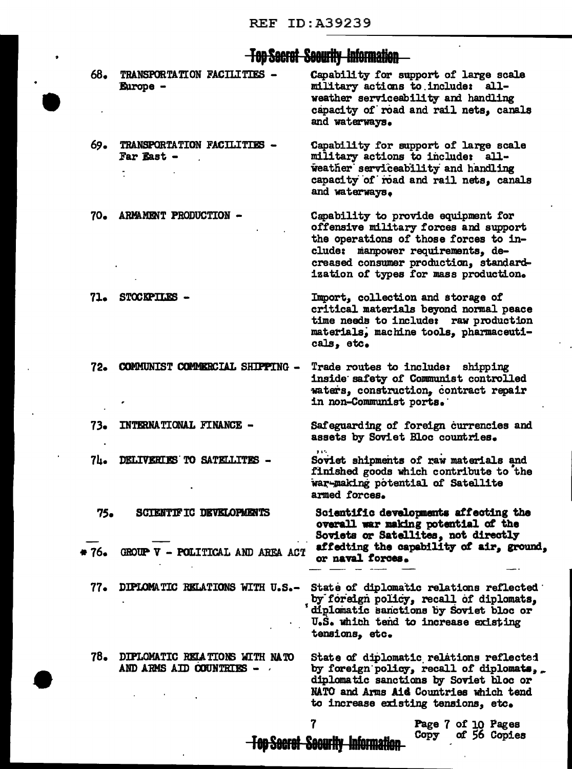$\bullet$ 

 $\ddot{\bullet}$ 

## **Top Secret Security Information**

| 68.   | TRANSPORTATION FACILITIES -<br><b>Europe -</b>             | Capability for support of large scale<br>military actions to include: all-<br>weather serviceability and handling<br>capacity of road and rail nets, canals<br>and waterways.                                                                 |
|-------|------------------------------------------------------------|-----------------------------------------------------------------------------------------------------------------------------------------------------------------------------------------------------------------------------------------------|
| 69.   | TRANSPORTATION FACILITIES -<br>Far East -                  | Capability for support of large scale<br>military actions to include: all-<br>weather serviceability and handling<br>capacity of road and rail nets, canals<br>and waterways.                                                                 |
| 70.   | ARMAMENT PRODUCTION -                                      | Capability to provide equipment for<br>offensive military forces and support<br>the operations of those forces to in-<br>clude: manpower requirements, de-<br>creased consumer production, standard-<br>ization of types for mass production. |
| 71.   | STOCKPILES -                                               | Import, collection and storage of<br>critical materials beyond normal peace<br>time needs to include: raw production<br>materials, machine tools, pharmaceuti-<br>cals, etc.                                                                  |
| 72.   | COMMUNIST COMMERCIAL SHIPPING -                            | Trade routes to include: shipping<br>inside safety of Communist controlled<br>waters, construction, contract repair<br>in non-Communist ports.                                                                                                |
| 73.   | <b>INTERNATIONAL FINANCE -</b>                             | Safeguarding of foreign currencies and<br>assets by Soviet Bloc countries.                                                                                                                                                                    |
| 7Ŀ.   | DELIVERIES TO SATELLITES -                                 | Soviet shipments of raw materials and<br>finished goods which contribute to the<br>war-making potential of Satellite<br>armed forces.                                                                                                         |
| 75.   | SCIENTIFIC DEVELOPMENTS                                    | Scientific developments affecting the<br>overall war making potential of the<br>Soviets or Satellites, not directly                                                                                                                           |
| * 76. | GROUP V - POLITICAL AND AREA ACT                           | affedting the capability of air, ground,<br>or naval forces.                                                                                                                                                                                  |
| $77-$ | DIPLOMATIC RELATIONS WITH U.S.-                            | State of diplomatic relations reflected<br>by foreign policy, recall of diplomats,<br>diplomatic sanctions by Soviet bloc or<br>U.S. which tend to increase existing<br>tensions, etc.                                                        |
| 78.   | DIPLOMATIC RELATIONS WITH NATO<br>AND ARMS AID COUNTRIES - | State of diplomatic relations reflected<br>by foreign policy, recall of diplomats,.<br>diplomatic sanctions by Soviet bloc or<br>NATO and Arms Aid Countries which tend<br>to increase existing tensions, etc.                                |
|       |                                                            | Page 7 of 10 Pages                                                                                                                                                                                                                            |

**Top Secret Security Information** 

rage ( or 10 rages<br>Copy of 56 Copies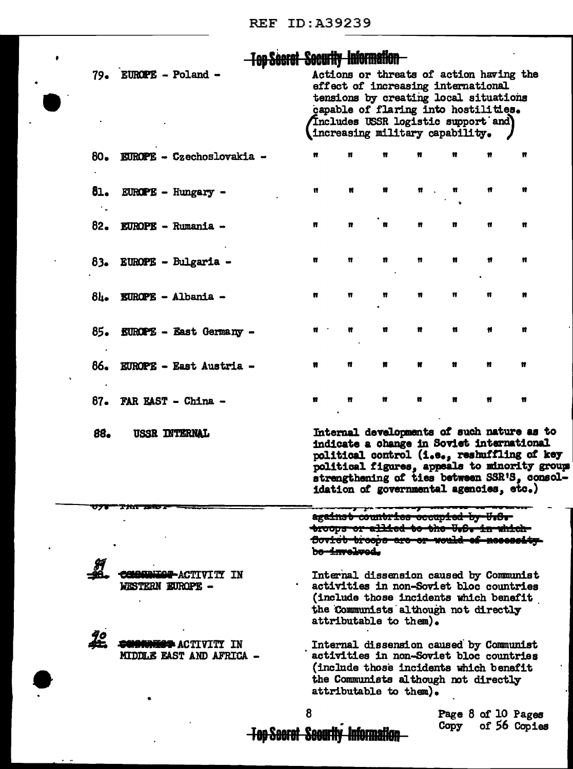$\bullet$ 

 $\ddot{\phantom{0}}$ 

Ten Peaced Peacefly Information

|     | <del>i ili dullui ducunty mormanon</del> |   |                                                                                                                                                                                                                                          |                   |    |   |   |                                                                                                                                                                                                                                        |  |
|-----|------------------------------------------|---|------------------------------------------------------------------------------------------------------------------------------------------------------------------------------------------------------------------------------------------|-------------------|----|---|---|----------------------------------------------------------------------------------------------------------------------------------------------------------------------------------------------------------------------------------------|--|
|     | 79. EUROPE - Poland -                    |   | Actions or threats of action having the<br>effect of increasing international<br>tensions by creating local situations<br>capable of flaring into hostilities.<br>fincludes USSR logistic support and<br>increasing military capability. |                   |    |   |   |                                                                                                                                                                                                                                        |  |
|     | 80. EUROPE - Czechoslovakia -            | Ħ | n                                                                                                                                                                                                                                        | Ħ                 |    |   |   | Ħ                                                                                                                                                                                                                                      |  |
| 81. | $EUROPE - Hungary -$                     | n | Ħ                                                                                                                                                                                                                                        | Ħ                 |    | Ħ | Ħ | n                                                                                                                                                                                                                                      |  |
|     | 82. EUROPE - Rumania -                   | Ħ | n                                                                                                                                                                                                                                        | u                 | 11 | n | Ħ | 11                                                                                                                                                                                                                                     |  |
|     | 83. EUROPE - Bulgaria -                  | n | Ħ                                                                                                                                                                                                                                        | n                 | n  | n | Ħ | Ħ                                                                                                                                                                                                                                      |  |
| 84. | <b>EUROPE - Albania -</b>                | n | Ħ                                                                                                                                                                                                                                        | n                 | Ħ  | u | Ħ | n                                                                                                                                                                                                                                      |  |
| 85. | <b>EUROPE - East Germany -</b>           | n | n                                                                                                                                                                                                                                        | Ħ                 | n  | Ħ | Ħ | Ħ                                                                                                                                                                                                                                      |  |
| 86. | <b>EUROPE - East Austria -</b>           | Ħ | n                                                                                                                                                                                                                                        | Ħ                 | ₩  | Ħ | Ħ | Ħ                                                                                                                                                                                                                                      |  |
| 87. | <b>FAR EAST - China -</b>                | n | n                                                                                                                                                                                                                                        | Ħ                 |    | n |   | Ħ                                                                                                                                                                                                                                      |  |
| 88. | <b>USSR INTERNAL</b>                     |   | idation of governmental agencies, etc.)                                                                                                                                                                                                  |                   |    |   |   | Internal developments of such nature as to<br>indicate a change in Soviet international<br>political control (i.e., reshuffling of key<br>political figures, appeals to minority group<br>strengthening of ties between SSR'S, consol- |  |
|     |                                          |   | against<br><del>troops or allied to the U.S.</del><br><del>Soviet troops are or</del><br><del>bo-involve</del> d.                                                                                                                        | commerce occupred |    |   |   |                                                                                                                                                                                                                                        |  |
|     | <b>IN</b><br>WESTERN EUROPE -            |   | Internal dissension caused by Communist<br>activities in non-Soviet bloc countries<br>(include those incidents which benefit<br>the Communists although not directly<br>attributable to them).                                           |                   |    |   |   |                                                                                                                                                                                                                                        |  |
|     | MIDDLE EAST AND AFRICA                   |   | Internal dissension caused by Communist<br>activities in non-Soviet bloc countries<br>(include those incidents which benefit<br>the Communists although not directly<br>attributable to them).                                           |                   |    |   |   |                                                                                                                                                                                                                                        |  |
|     |                                          |   |                                                                                                                                                                                                                                          |                   |    |   |   | $Proof 8 7 10 10$                                                                                                                                                                                                                      |  |

Page 8 of 10 Pages<br>Copy of 56 Copies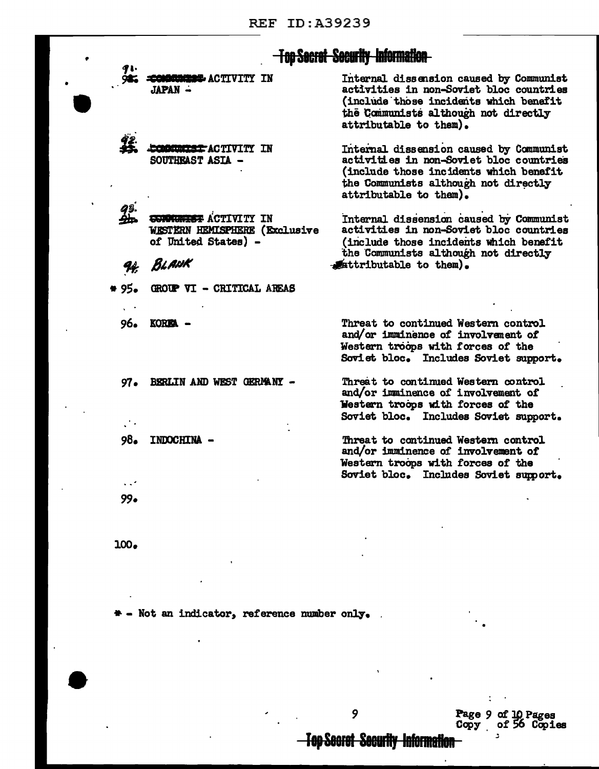|                 |                                                                                          | <u>Fop Secret Security Information </u>                                                                                                                                                        |
|-----------------|------------------------------------------------------------------------------------------|------------------------------------------------------------------------------------------------------------------------------------------------------------------------------------------------|
|                 | <b>ACTIVITY IN</b><br>JAPAN -                                                            | Internal dissension caused by Communist<br>activities in non-Soviet bloc countries<br>(include those incidents which benefit<br>the Communists although not directly<br>attributable to them). |
|                 | <b>MINITEST ACTIVITY</b><br>TN<br>SOUTHEAST ASIA -                                       | Internal dissension caused by Communist<br>activities in non-Soviet bloc countries<br>(include those incidents which benefit<br>the Communists although not directly<br>attributable to them). |
|                 | <del>CONNUMEST</del> ACTIVITY IN<br>WESTERN HEMISPHERE (Exclusive<br>of United States) - | Internal dissension caused by Communist<br>activities in non-Soviet bloc countries<br>(include those incidents which benefit<br>the Communists although not directly                           |
|                 | BLANK                                                                                    | attributable to them).                                                                                                                                                                         |
| 55. ا           | GROUP VI - CRITICAL AREAS                                                                |                                                                                                                                                                                                |
| 96.             | <b>KOREA</b>                                                                             | Threat to continued Western control<br>and/or imminence of involvement of<br>Western troops with forces of the<br>Soviet bloc. Includes Soviet support.                                        |
| 97 <sub>•</sub> | BERLIN AND WEST GERMANY -                                                                | Threat to continued Western control<br>and/or imminence of involvement of<br>Western troops with forces of the<br>Soviet bloc. Includes Soviet support.                                        |
| 98.<br>.        | <b>TNDOCHTNA</b>                                                                         | Threat to continued Western control<br>and/or imminence of involvement of<br>Western troops with forces of the<br>Soviet bloc. Includes Soviet support.                                        |
| $99-$           |                                                                                          |                                                                                                                                                                                                |

 $100<sub>o</sub>$ 

\* - Not an indicator, reference number only.

 $\ddot{\phantom{a}}$ 

 $\ddot{\phantom{0}}$ 

Page 9 of 10 Pages<br>Copy of 56 Copies

 $\Delta \sim 0.5$ 

÷,

-Top Secret Security Information

 $\ddot{\phantom{0}}$